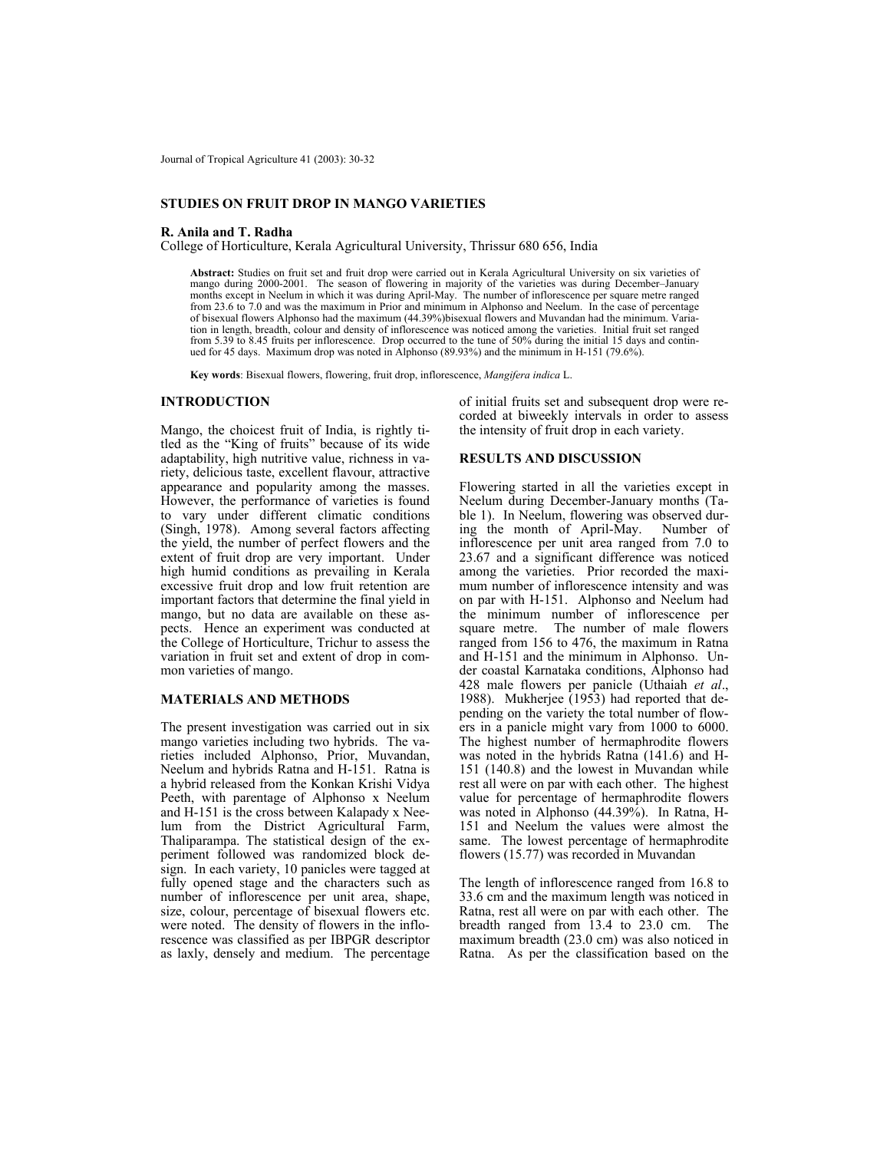Journal of Tropical Agriculture 41 (2003): 30-32

## **STUDIES ON FRUIT DROP IN MANGO VARIETIES**

### **R. Anila and T. Radha**

College of Horticulture, Kerala Agricultural University, Thrissur 680 656, India

**Abstract:** Studies on fruit set and fruit drop were carried out in Kerala Agricultural University on six varieties of mango during 2000-2001. The season of flowering in majority of the varieties was during December–January months except in Neelum in which it was during April-May. The number of inflorescence per square metre ranged from 23.6 to 7.0 and was the maximum in Prior and minimum in Alphonso and Neelum. In the case of percentage of bisexual flowers Alphonso had the maximum (44.39%)bisexual flowers and Muvandan had the minimum. Variation in length, breadth, colour and density of inflorescence was noticed among the varieties. Initial fruit set ranged from 5.39 to 8.45 fruits per inflorescence. Drop occurred to the tune of 50% during the initial 15 days and continued for 45 days. Maximum drop was noted in Alphonso (89.93%) and the minimum in H-151 (79.6%).

**Key words**: Bisexual flowers, flowering, fruit drop, inflorescence, *Mangifera indica* L.

#### **INTRODUCTION**

Mango, the choicest fruit of India, is rightly titled as the "King of fruits" because of its wide adaptability, high nutritive value, richness in variety, delicious taste, excellent flavour, attractive appearance and popularity among the masses. However, the performance of varieties is found to vary under different climatic conditions (Singh, 1978). Among several factors affecting the yield, the number of perfect flowers and the extent of fruit drop are very important. Under high humid conditions as prevailing in Kerala excessive fruit drop and low fruit retention are important factors that determine the final yield in mango, but no data are available on these aspects. Hence an experiment was conducted at the College of Horticulture, Trichur to assess the variation in fruit set and extent of drop in common varieties of mango.

## **MATERIALS AND METHODS**

The present investigation was carried out in six mango varieties including two hybrids. The varieties included Alphonso, Prior, Muvandan, Neelum and hybrids Ratna and H-151. Ratna is a hybrid released from the Konkan Krishi Vidya Peeth, with parentage of Alphonso x Neelum and H-151 is the cross between Kalapady x Neelum from the District Agricultural Farm, Thaliparampa. The statistical design of the experiment followed was randomized block design. In each variety, 10 panicles were tagged at fully opened stage and the characters such as number of inflorescence per unit area, shape, size, colour, percentage of bisexual flowers etc. were noted. The density of flowers in the inflorescence was classified as per IBPGR descriptor as laxly, densely and medium. The percentage of initial fruits set and subsequent drop were recorded at biweekly intervals in order to assess the intensity of fruit drop in each variety.

## **RESULTS AND DISCUSSION**

Flowering started in all the varieties except in Neelum during December-January months (Table 1). In Neelum, flowering was observed during the month of April-May. Number of inflorescence per unit area ranged from 7.0 to 23.67 and a significant difference was noticed among the varieties. Prior recorded the maximum number of inflorescence intensity and was on par with H-151. Alphonso and Neelum had the minimum number of inflorescence per square metre. The number of male flowers ranged from 156 to 476, the maximum in Ratna and H-151 and the minimum in Alphonso. Under coastal Karnataka conditions, Alphonso had 428 male flowers per panicle (Uthaiah *et al*., 1988). Mukherjee (1953) had reported that depending on the variety the total number of flowers in a panicle might vary from 1000 to 6000. The highest number of hermaphrodite flowers was noted in the hybrids Ratna (141.6) and H-151 (140.8) and the lowest in Muvandan while rest all were on par with each other. The highest value for percentage of hermaphrodite flowers was noted in Alphonso (44.39%). In Ratna, H-151 and Neelum the values were almost the same. The lowest percentage of hermaphrodite flowers (15.77) was recorded in Muvandan

The length of inflorescence ranged from 16.8 to 33.6 cm and the maximum length was noticed in Ratna, rest all were on par with each other. The breadth ranged from 13.4 to 23.0 cm. The maximum breadth (23.0 cm) was also noticed in Ratna. As per the classification based on the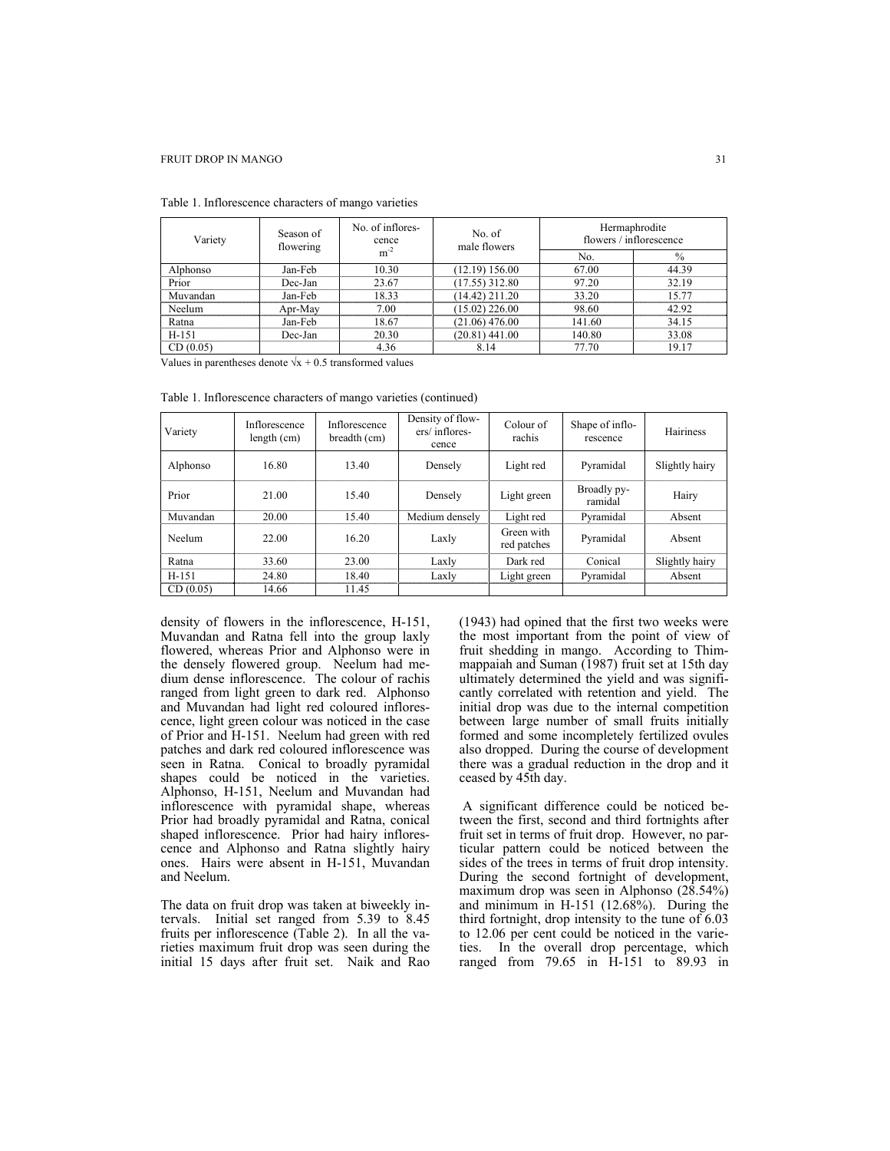| Variety  | Season of<br>flowering | No. of inflores-<br>cence<br>$m^{-2}$ | No. of<br>male flowers | Hermaphrodite<br>flowers / inflorescence |               |  |
|----------|------------------------|---------------------------------------|------------------------|------------------------------------------|---------------|--|
|          |                        |                                       |                        | No.                                      | $\frac{0}{0}$ |  |
| Alphonso | Jan-Feb                | 10.30                                 | (12.19) 156.00         | 67.00                                    | 44.39         |  |
| Prior    | Dec-Jan                | 23.67                                 | $(17.55)$ 312.80       | 97.20                                    | 32.19         |  |
| Muvandan | Jan-Feb                | 18.33                                 | $(14.42)$ 211.20       | 33.20                                    | 15.77         |  |
| Neelum   | Apr-May                | 7.00                                  | $(15.02)$ 226.00       | 98.60                                    | 42.92         |  |
| Ratna    | Jan-Feb                | 18.67                                 | $(21.06)$ 476.00       | 141.60                                   | 34.15         |  |
| $H-151$  | Dec-Jan                | 20.30                                 | $(20.81)$ 441.00       | 140.80                                   | 33.08         |  |
| CD(0.05) |                        | 4.36                                  | 8.14                   | 77.70                                    | 19.17         |  |

Table 1. Inflorescence characters of mango varieties

Values in parentheses denote  $\sqrt{x} + 0.5$  transformed values

| Variety  | Inflorescence<br>length (cm) | Inflorescence<br>breadth (cm) | Density of flow-<br>ers/inflores-<br>cence | Colour of<br>rachis       | Shape of inflo-<br>rescence | Hairiness      |  |
|----------|------------------------------|-------------------------------|--------------------------------------------|---------------------------|-----------------------------|----------------|--|
| Alphonso | 16.80                        | 13.40                         | Densely                                    | Light red                 | Pyramidal                   | Slightly hairy |  |
| Prior    | 21.00                        | 15.40                         | Densely                                    | Light green               | Broadly py-<br>ramidal      | Hairy          |  |
| Muvandan | 20.00                        | 15.40                         | Medium densely                             | Light red                 | Pyramidal                   | Absent         |  |
| Neelum   | 22.00                        | 16.20                         | Laxly                                      | Green with<br>red patches | Pyramidal                   | Absent         |  |
| Ratna    | 33.60                        | 23.00                         | Laxly                                      | Dark red                  | Conical                     | Slightly hairy |  |
| $H-151$  | 24.80                        | 18.40                         | Laxly                                      | Light green               | Pyramidal                   | Absent         |  |
| CD(0.05) | 14.66                        | 11.45                         |                                            |                           |                             |                |  |

Table 1. Inflorescence characters of mango varieties (continued)

density of flowers in the inflorescence, H-151, Muvandan and Ratna fell into the group laxly flowered, whereas Prior and Alphonso were in the densely flowered group. Neelum had medium dense inflorescence. The colour of rachis ranged from light green to dark red. Alphonso and Muvandan had light red coloured inflorescence, light green colour was noticed in the case of Prior and H-151. Neelum had green with red patches and dark red coloured inflorescence was seen in Ratna. Conical to broadly pyramidal shapes could be noticed in the varieties. Alphonso, H-151, Neelum and Muvandan had inflorescence with pyramidal shape, whereas Prior had broadly pyramidal and Ratna, conical shaped inflorescence. Prior had hairy inflorescence and Alphonso and Ratna slightly hairy ones. Hairs were absent in H-151, Muvandan and Neelum.

The data on fruit drop was taken at biweekly intervals. Initial set ranged from 5.39 to 8.45 fruits per inflorescence (Table 2). In all the varieties maximum fruit drop was seen during the initial 15 days after fruit set. Naik and Rao (1943) had opined that the first two weeks were the most important from the point of view of fruit shedding in mango. According to Thimmappaiah and Suman (1987) fruit set at 15th day ultimately determined the yield and was significantly correlated with retention and yield. The initial drop was due to the internal competition between large number of small fruits initially formed and some incompletely fertilized ovules also dropped. During the course of development there was a gradual reduction in the drop and it ceased by 45th day.

 A significant difference could be noticed between the first, second and third fortnights after fruit set in terms of fruit drop. However, no particular pattern could be noticed between the sides of the trees in terms of fruit drop intensity. During the second fortnight of development, maximum drop was seen in Alphonso (28.54%) and minimum in H-151 (12.68%). During the third fortnight, drop intensity to the tune of 6.03 to 12.06 per cent could be noticed in the varieties. In the overall drop percentage, which ranged from 79.65 in H-151 to 89.93 in